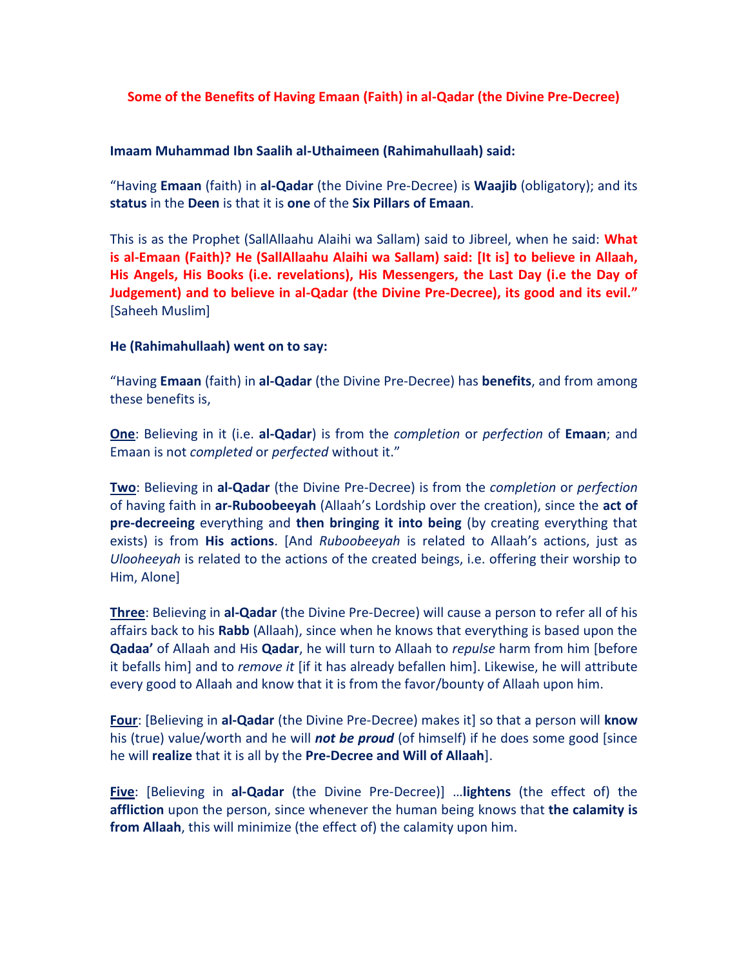## **Some of the Benefits of Having Emaan (Faith) in al-Qadar (the Divine Pre-Decree)**

## **Imaam Muhammad Ibn Saalih al-Uthaimeen (Rahimahullaah) said:**

"Having **Emaan** (faith) in **al-Qadar** (the Divine Pre-Decree) is **Waajib** (obligatory); and its **status** in the **Deen** is that it is **one** of the **Six Pillars of Emaan**.

This is as the Prophet (SallAllaahu Alaihi wa Sallam) said to Jibreel, when he said: **What is al-Emaan (Faith)? He (SallAllaahu Alaihi wa Sallam) said: [It is] to believe in Allaah, His Angels, His Books (i.e. revelations), His Messengers, the Last Day (i.e the Day of Judgement) and to believe in al-Qadar (the Divine Pre-Decree), its good and its evil."** [Saheeh Muslim]

## **He (Rahimahullaah) went on to say:**

"Having **Emaan** (faith) in **al-Qadar** (the Divine Pre-Decree) has **benefits**, and from among these benefits is,

**One**: Believing in it (i.e. **al-Qadar**) is from the *completion* or *perfection* of **Emaan**; and Emaan is not *completed* or *perfected* without it."

**Two**: Believing in **al-Qadar** (the Divine Pre-Decree) is from the *completion* or *perfection* of having faith in **ar-Ruboobeeyah** (Allaah's Lordship over the creation), since the **act of pre-decreeing** everything and **then bringing it into being** (by creating everything that exists) is from **His actions**. [And *Ruboobeeyah* is related to Allaah's actions, just as *Ulooheeyah* is related to the actions of the created beings, i.e. offering their worship to Him, Alone]

**Three**: Believing in **al-Qadar** (the Divine Pre-Decree) will cause a person to refer all of his affairs back to his **Rabb** (Allaah), since when he knows that everything is based upon the **Qadaa'** of Allaah and His **Qadar**, he will turn to Allaah to *repulse* harm from him [before it befalls him] and to *remove it* [if it has already befallen him]. Likewise, he will attribute every good to Allaah and know that it is from the favor/bounty of Allaah upon him.

**Four**: [Believing in **al-Qadar** (the Divine Pre-Decree) makes it] so that a person will **know** his (true) value/worth and he will *not be proud* (of himself) if he does some good [since he will **realize** that it is all by the **Pre-Decree and Will of Allaah**].

**Five**: [Believing in **al-Qadar** (the Divine Pre-Decree)] …**lightens** (the effect of) the **affliction** upon the person, since whenever the human being knows that **the calamity is from Allaah**, this will minimize (the effect of) the calamity upon him.